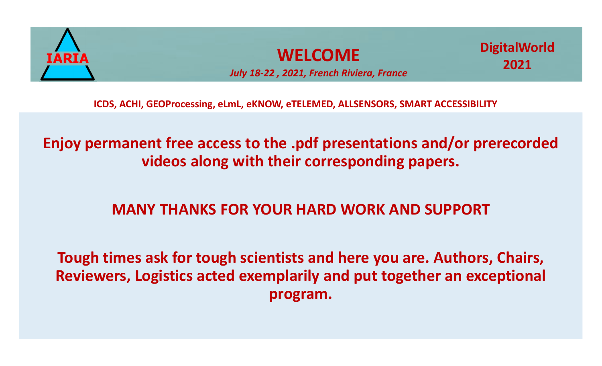

### **WELCOME**

*July 18-22 , 2021, French Riviera, France*

**ICDS, ACHI, GEOProcessing, eLmL, eKNOW, eTELEMED, ALLSENSORS, SMART ACCESSIBILITY**

**Enjoy permanent free access to the .pdf presentations and/or prerecorded videos along with their corresponding papers.**

### **MANY THANKS FOR YOUR HARD WORK AND SUPPORT**

**Tough times ask for tough scientists and here you are. Authors, Chairs, Reviewers, Logistics acted exemplarily and put together an exceptional program.**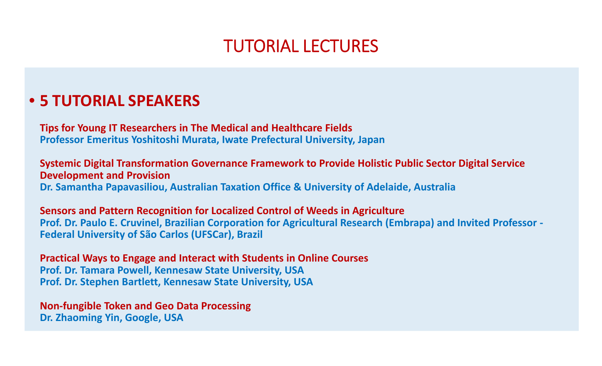## TUTORIAL LECTURES

### • **5 TUTORIAL SPEAKERS**

**Tips for Young IT Researchers in The Medical and Healthcare Fields Professor Emeritus Yoshitoshi Murata, Iwate Prefectural University, Japan**

**Systemic Digital Transformation Governance Framework to Provide Holistic Public Sector Digital Service Development and Provision Dr. Samantha Papavasiliou, Australian Taxation Office & University of Adelaide, Australia**

**Sensors and Pattern Recognition for Localized Control of Weeds in Agriculture Prof. Dr. Paulo E. Cruvinel, Brazilian Corporation for Agricultural Research (Embrapa) and Invited Professor - Federal University of São Carlos (UFSCar), Brazil**

**Practical Ways to Engage and Interact with Students in Online Courses Prof. Dr. Tamara Powell, Kennesaw State University, USA Prof. Dr. Stephen Bartlett, Kennesaw State University, USA**

**Non-fungible Token and Geo Data Processing Dr. Zhaoming Yin, Google, USA**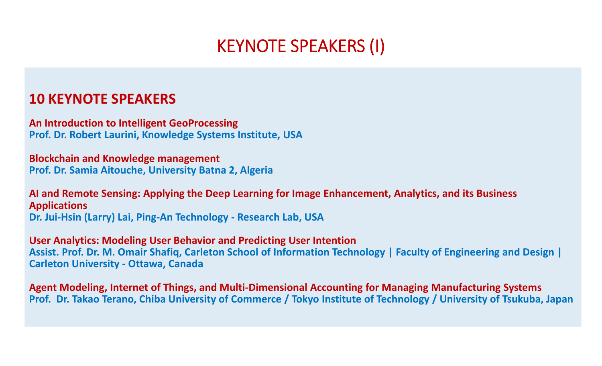## KEYNOTE SPEAKERS (I)

### **10 KEYNOTE SPEAKERS**

**An Introduction to Intelligent GeoProcessing Prof. Dr. Robert Laurini, Knowledge Systems Institute, USA**

**Blockchain and Knowledge management Prof. Dr. Samia Aitouche, University Batna 2, Algeria**

**AI and Remote Sensing: Applying the Deep Learning for Image Enhancement, Analytics, and its Business Applications Dr. Jui-Hsin (Larry) Lai, Ping-An Technology - Research Lab, USA**

**User Analytics: Modeling User Behavior and Predicting User Intention Assist. Prof. Dr. M. Omair Shafiq, Carleton School of Information Technology | Faculty of Engineering and Design | Carleton University - Ottawa, Canada**

**Agent Modeling, Internet of Things, and Multi-Dimensional Accounting for Managing Manufacturing Systems Prof. Dr. Takao Terano, Chiba University of Commerce / Tokyo Institute of Technology / University of Tsukuba, Japan**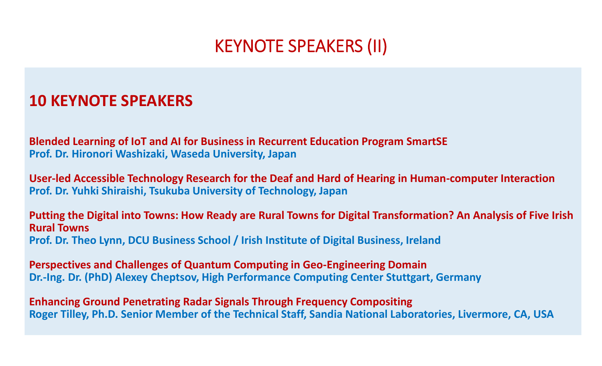## KEYNOTE SPEAKERS (II)

### **10 KEYNOTE SPEAKERS**

**Blended Learning of IoT and AI for Business in Recurrent Education Program SmartSE Prof. Dr. Hironori Washizaki, Waseda University, Japan**

**User-led Accessible Technology Research for the Deaf and Hard of Hearing in Human-computer Interaction Prof. Dr. Yuhki Shiraishi, Tsukuba University of Technology, Japan**

**Putting the Digital into Towns: How Ready are Rural Towns for Digital Transformation? An Analysis of Five Irish Rural Towns Prof. Dr. Theo Lynn, DCU Business School / Irish Institute of Digital Business, Ireland**

**Perspectives and Challenges of Quantum Computing in Geo-Engineering Domain Dr.-Ing. Dr. (PhD) Alexey Cheptsov, High Performance Computing Center Stuttgart, Germany**

**Enhancing Ground Penetrating Radar Signals Through Frequency Compositing Roger Tilley, Ph.D. Senior Member of the Technical Staff, Sandia National Laboratories, Livermore, CA, USA**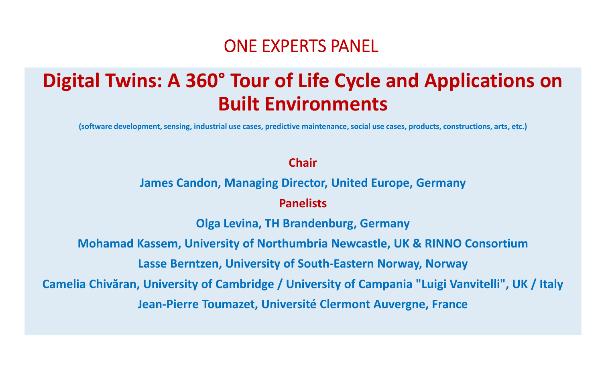## ONE EXPERTS PANEL

# **Digital Twins: A 360° Tour of Life Cycle and Applications on Built Environments**

**(software development, sensing, industrial use cases, predictive maintenance, social use cases, products, constructions, arts, etc.)**

### **Chair**

**James Candon, Managing Director, United Europe, Germany**

#### **Panelists**

**Olga Levina, TH Brandenburg, Germany**

**Mohamad Kassem, University of Northumbria Newcastle, UK & RINNO Consortium**

**Lasse Berntzen, University of South-Eastern Norway, Norway**

**Camelia Chivăran, University of Cambridge / University of Campania "Luigi Vanvitelli", UK / Italy Jean-Pierre Toumazet, Université Clermont Auvergne, France**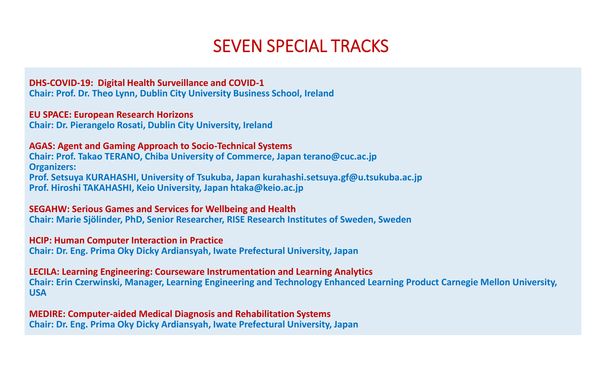## SEVEN SPECIAL TRACKS

#### **DHS-COVID-19: Digital Health Surveillance and COVID-1**

**Chair: Prof. Dr. Theo Lynn, Dublin City University Business School, Ireland**

#### **EU SPACE: European Research Horizons**

**Chair: Dr. Pierangelo Rosati, Dublin City University, Ireland**

#### **AGAS: Agent and Gaming Approach to Socio-Technical Systems**

**Chair: Prof. Takao TERANO, Chiba University of Commerce, Japan terano@cuc.ac.jp Organizers: Prof. Setsuya KURAHASHI, University of Tsukuba, Japan kurahashi.setsuya.gf@u.tsukuba.ac.jp Prof. Hiroshi TAKAHASHI, Keio University, Japan htaka@keio.ac.jp**

#### **SEGAHW: Serious Games and Services for Wellbeing and Health**

**Chair: Marie Sjölinder, PhD, Senior Researcher, RISE Research Institutes of Sweden, Sweden**

#### **HCIP: Human Computer Interaction in Practice**

**Chair: Dr. Eng. Prima Oky Dicky Ardiansyah, Iwate Prefectural University, Japan**

#### **LECILA: Learning Engineering: Courseware Instrumentation and Learning Analytics**

**Chair: Erin Czerwinski, Manager, Learning Engineering and Technology Enhanced Learning Product Carnegie Mellon University, USA**

**MEDIRE: Computer-aided Medical Diagnosis and Rehabilitation Systems Chair: Dr. Eng. Prima Oky Dicky Ardiansyah, Iwate Prefectural University, Japan**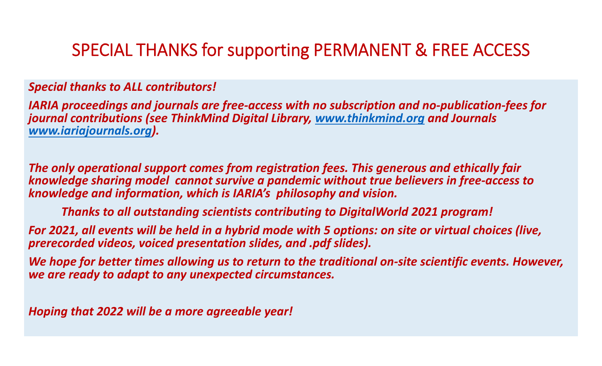## SPECIAL THANKS for supporting PERMANENT & FREE ACCESS

### *Special thanks to ALL contributors!*

*IARIA proceedings and journals are free-access with no subscription and no-publication-fees for journal contributions (see ThinkMind Digital Library, www.thinkmind.org and Journals www.iariajournals.org).*

*The only operational support comes from registration fees. This generous and ethically fair knowledge sharing model cannot survive a pandemic without true believers in free-access to knowledge and information, which is IARIA's philosophy and vision.*

*Thanks to all outstanding scientists contributing to DigitalWorld 2021 program!*

*For 2021, all events will be held in a hybrid mode with 5 options: on site or virtual choices (live, prerecorded videos, voiced presentation slides, and .pdf slides).*

*We hope for better times allowing us to return to the traditional on-site scientific events. However, we are ready to adapt to any unexpected circumstances.*

*Hoping that 2022 will be a more agreeable year!*